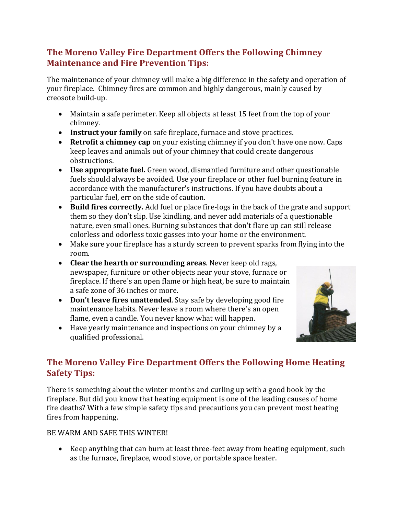### **The Moreno Valley Fire Department Offers the Following Chimney Maintenance and Fire Prevention Tips:**

The maintenance of your chimney will make a big difference in the safety and operation of your fireplace. Chimney fires are common and highly dangerous, mainly caused by creosote build-up.

- Maintain a safe perimeter. Keep all objects at least 15 feet from the top of your chimney.
- **Instruct your family** on safe fireplace, furnace and stove practices.
- **Retrofit a chimney cap** on your existing chimney if you don't have one now. Caps keep leaves and animals out of your chimney that could create dangerous obstructions.
- **Use appropriate fuel.** Green wood, dismantled furniture and other questionable fuels should always be avoided. Use your fireplace or other fuel burning feature in accordance with the manufacturer's instructions. If you have doubts about a particular fuel, err on the side of caution.
- **Build fires correctly.** Add fuel or place fire-logs in the back of the grate and support them so they don't slip. Use kindling, and never add materials of a questionable nature, even small ones. Burning substances that don't flare up can still release colorless and odorless toxic gasses into your home or the environment.
- Make sure your fireplace has a sturdy screen to prevent sparks from flying into the room.
- **Clear the hearth or surrounding areas**. Never keep old rags, newspaper, furniture or other objects near your stove, furnace or fireplace. If there's an open flame or high heat, be sure to maintain a safe zone of 36 inches or more.
- **Don't leave fires unattended**. Stay safe by developing good fire maintenance habits. Never leave a room where there's an open flame, even a candle. You never know what will happen.
- Have yearly maintenance and inspections on your chimney by a qualified professional.



## **The Moreno Valley Fire Department Offers the Following Home Heating Safety Tips:**

There is something about the winter months and curling up with a good book by the fireplace. But did you know that heating equipment is one of the leading causes of home fire deaths? With a few simple safety tips and precautions you can prevent most heating fires from happening.

#### BE WARM AND SAFE THIS WINTER!

 Keep anything that can burn at least three-feet away from heating equipment, such as the furnace, fireplace, wood stove, or portable space heater.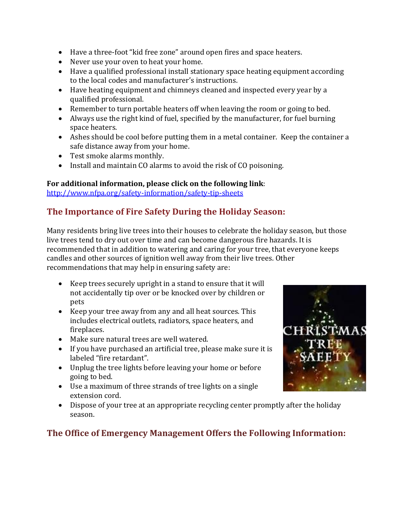- Have a three-foot "kid free zone" around open fires and space heaters.
- Never use your oven to heat your home.
- Have a qualified professional install stationary space heating equipment according to the local codes and manufacturer's instructions.
- Have heating equipment and chimneys cleaned and inspected every year by a qualified professional.
- Remember to turn portable heaters off when leaving the room or going to bed.
- Always use the right kind of fuel, specified by the manufacturer, for fuel burning space heaters.
- Ashes should be cool before putting them in a metal container. Keep the container a safe distance away from your home.
- Test smoke alarms monthly.
- Install and maintain CO alarms to avoid the risk of CO poisoning.

### **For additional information, please click on the following link**:

<http://www.nfpa.org/safety-information/safety-tip-sheets>

# **The Importance of Fire Safety During the Holiday Season:**

Many residents bring live trees into their houses to celebrate the holiday season, but those live trees tend to dry out over time and can become dangerous fire hazards. It is recommended that in addition to watering and caring for your tree, that everyone keeps candles and other sources of ignition well away from their live trees. Other recommendations that may help in ensuring safety are:

- Keep trees securely upright in a stand to ensure that it will not accidentally tip over or be knocked over by children or pets
- Keep your tree away from any and all heat sources. This includes electrical outlets, radiators, space heaters, and fireplaces.
- Make sure natural trees are well watered.
- If you have purchased an artificial tree, please make sure it is labeled "fire retardant".
- Unplug the tree lights before leaving your home or before going to bed.
- Use a maximum of three strands of tree lights on a single extension cord.
- Dispose of your tree at an appropriate recycling center promptly after the holiday season.

# **The Office of Emergency Management Offers the Following Information:**